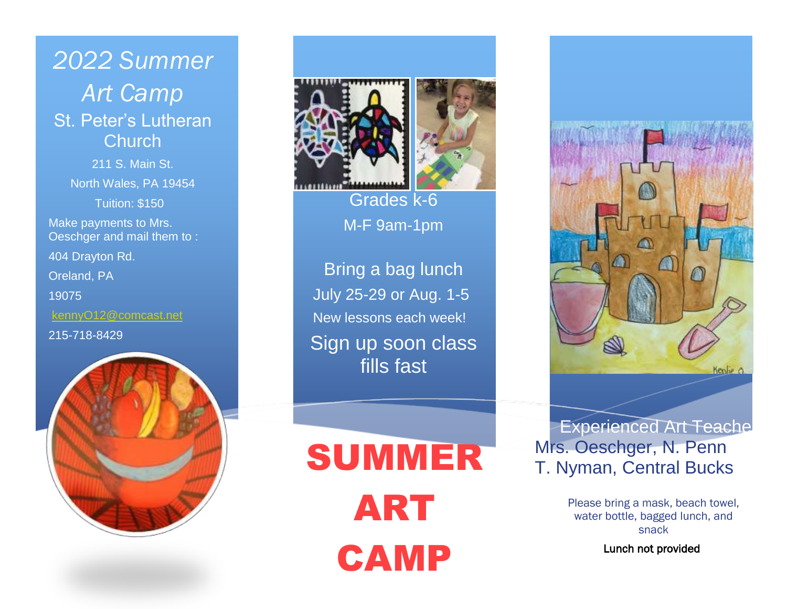*2022 Summer Art Camp* St. Peter's Lutheran **Church** 211 S. Main St. North Wales, PA 19454 Tuition: \$150 Make payments to Mrs. Oeschger and mail them to : 404 Drayton Rd. Oreland, PA 19075 [kennyO12@comcast.net](mailto:kennyO12@comcast.net) 215-718-8429





Grades k-6 M-F 9am-1pm

Bring a bag lunch July 25-29 or Aug. 1-5 New lessons each week! Sign up soon class fills fast

SUMMER ART CAMP



Experienced Art Teache Mrs. Oeschger, N. Penn T. Nyman, Central Bucks

> Please bring a mask, beach towel, water bottle, bagged lunch, and snack

> > Lunch not provided